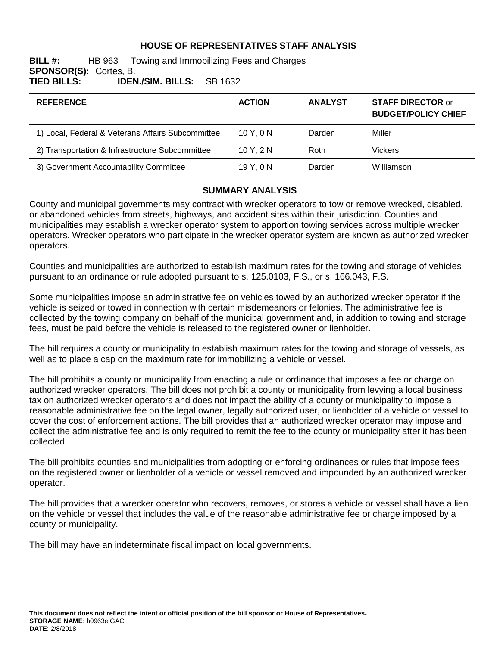### **HOUSE OF REPRESENTATIVES STAFF ANALYSIS**

#### **BILL #:** HB 963 Towing and Immobilizing Fees and Charges **SPONSOR(S):** Cortes, B. **TIED BILLS: IDEN./SIM. BILLS:** SB 1632

| <b>ACTION</b> | <b>ANALYST</b> | <b>STAFF DIRECTOR or</b><br><b>BUDGET/POLICY CHIEF</b> |
|---------------|----------------|--------------------------------------------------------|
| 10Y.0N        | Darden         | Miller                                                 |
| 10 Y. $2 N$   | Roth           | Vickers                                                |
| 19 Y.ON       | Darden         | Williamson                                             |
|               |                |                                                        |

#### **SUMMARY ANALYSIS**

County and municipal governments may contract with wrecker operators to tow or remove wrecked, disabled, or abandoned vehicles from streets, highways, and accident sites within their jurisdiction. Counties and municipalities may establish a wrecker operator system to apportion towing services across multiple wrecker operators. Wrecker operators who participate in the wrecker operator system are known as authorized wrecker operators.

Counties and municipalities are authorized to establish maximum rates for the towing and storage of vehicles pursuant to an ordinance or rule adopted pursuant to s. 125.0103, F.S., or s. 166.043, F.S.

Some municipalities impose an administrative fee on vehicles towed by an authorized wrecker operator if the vehicle is seized or towed in connection with certain misdemeanors or felonies. The administrative fee is collected by the towing company on behalf of the municipal government and, in addition to towing and storage fees, must be paid before the vehicle is released to the registered owner or lienholder.

The bill requires a county or municipality to establish maximum rates for the towing and storage of vessels, as well as to place a cap on the maximum rate for immobilizing a vehicle or vessel.

The bill prohibits a county or municipality from enacting a rule or ordinance that imposes a fee or charge on authorized wrecker operators. The bill does not prohibit a county or municipality from levying a local business tax on authorized wrecker operators and does not impact the ability of a county or municipality to impose a reasonable administrative fee on the legal owner, legally authorized user, or lienholder of a vehicle or vessel to cover the cost of enforcement actions. The bill provides that an authorized wrecker operator may impose and collect the administrative fee and is only required to remit the fee to the county or municipality after it has been collected.

The bill prohibits counties and municipalities from adopting or enforcing ordinances or rules that impose fees on the registered owner or lienholder of a vehicle or vessel removed and impounded by an authorized wrecker operator.

The bill provides that a wrecker operator who recovers, removes, or stores a vehicle or vessel shall have a lien on the vehicle or vessel that includes the value of the reasonable administrative fee or charge imposed by a county or municipality.

The bill may have an indeterminate fiscal impact on local governments.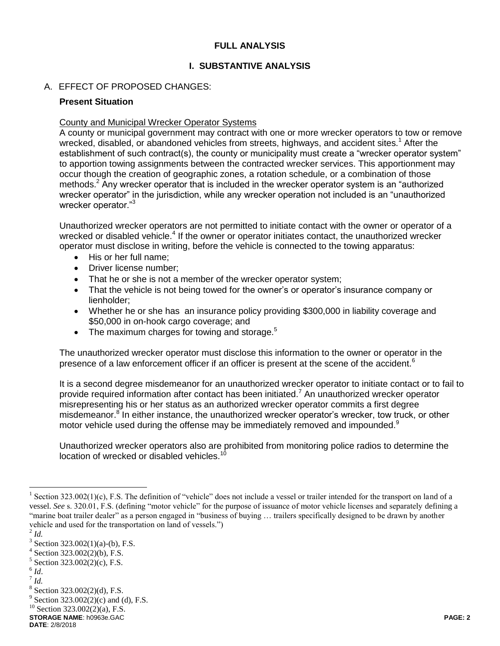### **FULL ANALYSIS**

# **I. SUBSTANTIVE ANALYSIS**

# A. EFFECT OF PROPOSED CHANGES:

### **Present Situation**

### County and Municipal Wrecker Operator Systems

A county or municipal government may contract with one or more wrecker operators to tow or remove wrecked, disabled, or abandoned vehicles from streets, highways, and accident sites.<sup>1</sup> After the establishment of such contract(s), the county or municipality must create a "wrecker operator system" to apportion towing assignments between the contracted wrecker services. This apportionment may occur though the creation of geographic zones, a rotation schedule, or a combination of those methods.<sup>2</sup> Any wrecker operator that is included in the wrecker operator system is an "authorized" wrecker operator" in the jurisdiction, while any wrecker operation not included is an "unauthorized wrecker operator."<sup>3</sup>

Unauthorized wrecker operators are not permitted to initiate contact with the owner or operator of a wrecked or disabled vehicle.<sup>4</sup> If the owner or operator initiates contact, the unauthorized wrecker operator must disclose in writing, before the vehicle is connected to the towing apparatus:

- His or her full name;
- Driver license number;
- That he or she is not a member of the wrecker operator system;
- That the vehicle is not being towed for the owner's or operator's insurance company or lienholder;
- Whether he or she has an insurance policy providing \$300,000 in liability coverage and \$50,000 in on-hook cargo coverage; and
- $\bullet$  The maximum charges for towing and storage.<sup>5</sup>

The unauthorized wrecker operator must disclose this information to the owner or operator in the presence of a law enforcement officer if an officer is present at the scene of the accident.<sup>6</sup>

It is a second degree misdemeanor for an unauthorized wrecker operator to initiate contact or to fail to provide required information after contact has been initiated.<sup>7</sup> An unauthorized wrecker operator misrepresenting his or her status as an authorized wrecker operator commits a first degree misdemeanor.<sup>8</sup> In either instance, the unauthorized wrecker operator's wrecker, tow truck, or other motor vehicle used during the offense may be immediately removed and impounded.<sup>9</sup>

Unauthorized wrecker operators also are prohibited from monitoring police radios to determine the location of wrecked or disabled vehicles.<sup>1</sup>

- 6 *Id*.
- 7 *Id.*

<sup>&</sup>lt;sup>1</sup> Section 323.002(1)(c), F.S. The definition of "vehicle" does not include a vessel or trailer intended for the transport on land of a vessel. *See* s. 320.01, F.S. (defining "motor vehicle" for the purpose of issuance of motor vehicle licenses and separately defining a "marine boat trailer dealer" as a person engaged in "business of buying … trailers specifically designed to be drawn by another vehicle and used for the transportation on land of vessels.")

<sup>2</sup> *Id.*

<sup>&</sup>lt;sup>3</sup> Section 323.002(1)(a)-(b), F.S.

Section 323.002(2)(b), F.S.

 $5$  Section 323.002(2)(c), F.S.

<sup>8</sup> Section 323.002(2)(d), F.S.

<sup>&</sup>lt;sup>9</sup> Section 323.002(2)(c) and (d), F.S.

 $^{10}$  Section 323.002(2)(a), F.S.

**STORAGE NAME**: h0963e.GAC **PAGE: 2 DATE**: 2/8/2018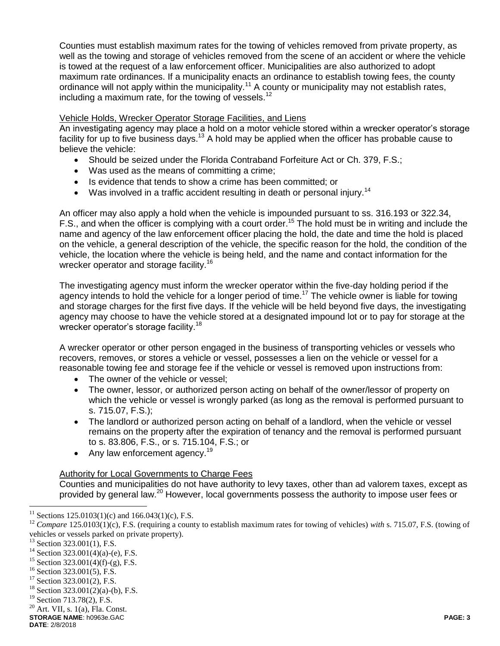Counties must establish maximum rates for the towing of vehicles removed from private property, as well as the towing and storage of vehicles removed from the scene of an accident or where the vehicle is towed at the request of a law enforcement officer. Municipalities are also authorized to adopt maximum rate ordinances. If a municipality enacts an ordinance to establish towing fees, the county ordinance will not apply within the municipality.<sup>11</sup> A county or municipality may not establish rates, including a maximum rate, for the towing of vessels. $^{12}$ 

# Vehicle Holds, Wrecker Operator Storage Facilities, and Liens

An investigating agency may place a hold on a motor vehicle stored within a wrecker operator's storage facility for up to five business days.<sup>13</sup> A hold may be applied when the officer has probable cause to believe the vehicle:

- Should be seized under the Florida Contraband Forfeiture Act or Ch. 379, F.S.;
- Was used as the means of committing a crime;
- Is evidence that tends to show a crime has been committed; or
- Was involved in a traffic accident resulting in death or personal injury.<sup>14</sup>

An officer may also apply a hold when the vehicle is impounded pursuant to ss. 316.193 or 322.34, F.S., and when the officer is complying with a court order.<sup>15</sup> The hold must be in writing and include the name and agency of the law enforcement officer placing the hold, the date and time the hold is placed on the vehicle, a general description of the vehicle, the specific reason for the hold, the condition of the vehicle, the location where the vehicle is being held, and the name and contact information for the wrecker operator and storage facility.<sup>16</sup>

The investigating agency must inform the wrecker operator within the five-day holding period if the agency intends to hold the vehicle for a longer period of time.<sup>17</sup> The vehicle owner is liable for towing and storage charges for the first five days. If the vehicle will be held beyond five days, the investigating agency may choose to have the vehicle stored at a designated impound lot or to pay for storage at the wrecker operator's storage facility.<sup>18</sup>

A wrecker operator or other person engaged in the business of transporting vehicles or vessels who recovers, removes, or stores a vehicle or vessel, possesses a lien on the vehicle or vessel for a reasonable towing fee and storage fee if the vehicle or vessel is removed upon instructions from:

- The owner of the vehicle or vessel;
- The owner, lessor, or authorized person acting on behalf of the owner/lessor of property on which the vehicle or vessel is wrongly parked (as long as the removal is performed pursuant to s. 715.07, F.S.);
- The landlord or authorized person acting on behalf of a landlord, when the vehicle or vessel remains on the property after the expiration of tenancy and the removal is performed pursuant to s. 83.806, F.S., or s. 715.104, F.S.; or
- Any law enforcement agency.<sup>19</sup>

# Authority for Local Governments to Charge Fees

Counties and municipalities do not have authority to levy taxes, other than ad valorem taxes, except as provided by general law.<sup>20</sup> However, local governments possess the authority to impose user fees or

<sup>&</sup>lt;sup>11</sup> Sections 125.0103(1)(c) and 166.043(1)(c), F.S.

<sup>12</sup> *Compare* 125.0103(1)(c), F.S. (requiring a county to establish maximum rates for towing of vehicles) *with* s. 715.07, F.S. (towing of vehicles or vessels parked on private property).

 $13$  Section 323.001(1), F.S.

<sup>&</sup>lt;sup>14</sup> Section 323.001(4)(a)-(e), F.S.

<sup>&</sup>lt;sup>15</sup> Section 323.001(4)(f)-(g), F.S.

<sup>&</sup>lt;sup>16</sup> Section 323.001(5), F.S.

 $17$  Section 323.001(2), F.S.

Section 323.001(2)(a)-(b), F.S.

<sup>&</sup>lt;sup>19</sup> Section 713.78(2), F.S.

 $20$  Art. VII, s. 1(a), Fla. Const.

**STORAGE NAME**: h0963e.GAC **PAGE: 3**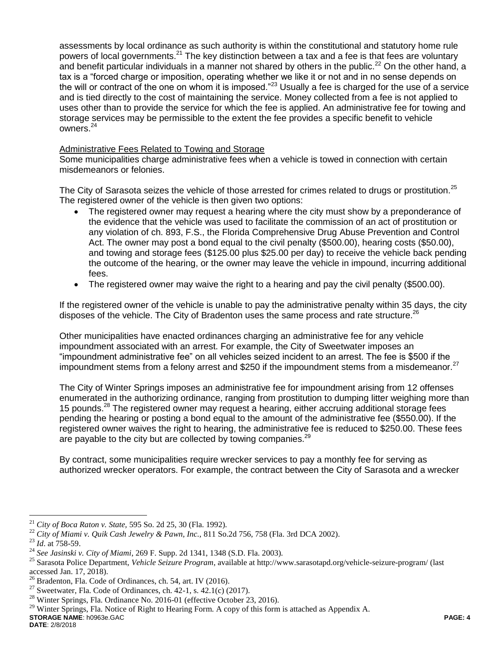assessments by local ordinance as such authority is within the constitutional and statutory home rule powers of local governments.<sup>21</sup> The key distinction between a tax and a fee is that fees are voluntary and benefit particular individuals in a manner not shared by others in the public.<sup>22</sup> On the other hand, a tax is a "forced charge or imposition, operating whether we like it or not and in no sense depends on the will or contract of the one on whom it is imposed."<sup>23</sup> Usually a fee is charged for the use of a service and is tied directly to the cost of maintaining the service. Money collected from a fee is not applied to uses other than to provide the service for which the fee is applied. An administrative fee for towing and storage services may be permissible to the extent the fee provides a specific benefit to vehicle owners.<sup>24</sup>

### Administrative Fees Related to Towing and Storage

Some municipalities charge administrative fees when a vehicle is towed in connection with certain misdemeanors or felonies.

The City of Sarasota seizes the vehicle of those arrested for crimes related to drugs or prostitution.<sup>25</sup> The registered owner of the vehicle is then given two options:

- The registered owner may request a hearing where the city must show by a preponderance of the evidence that the vehicle was used to facilitate the commission of an act of prostitution or any violation of ch. 893, F.S., the Florida Comprehensive Drug Abuse Prevention and Control Act. The owner may post a bond equal to the civil penalty (\$500.00), hearing costs (\$50.00), and towing and storage fees (\$125.00 plus \$25.00 per day) to receive the vehicle back pending the outcome of the hearing, or the owner may leave the vehicle in impound, incurring additional fees.
- The registered owner may waive the right to a hearing and pay the civil penalty (\$500.00).

If the registered owner of the vehicle is unable to pay the administrative penalty within 35 days, the city disposes of the vehicle. The City of Bradenton uses the same process and rate structure.<sup>26</sup>

Other municipalities have enacted ordinances charging an administrative fee for any vehicle impoundment associated with an arrest. For example, the City of Sweetwater imposes an "impoundment administrative fee" on all vehicles seized incident to an arrest. The fee is \$500 if the impoundment stems from a felony arrest and \$250 if the impoundment stems from a misdemeanor.<sup>27</sup>

The City of Winter Springs imposes an administrative fee for impoundment arising from 12 offenses enumerated in the authorizing ordinance, ranging from prostitution to dumping litter weighing more than 15 pounds.<sup>28</sup> The registered owner may request a hearing, either accruing additional storage fees pending the hearing or posting a bond equal to the amount of the administrative fee (\$550.00). If the registered owner waives the right to hearing, the administrative fee is reduced to \$250.00. These fees are payable to the city but are collected by towing companies.<sup>29</sup>

By contract, some municipalities require wrecker services to pay a monthly fee for serving as authorized wrecker operators. For example, the contract between the City of Sarasota and a wrecker

<sup>21</sup> *City of Boca Raton v. State,* 595 So. 2d 25, 30 (Fla. 1992).

<sup>22</sup> *City of Miami v. Quik Cash Jewelry & Pawn, Inc.,* 811 So.2d 756, 758 (Fla. 3rd DCA 2002).

<sup>23</sup> *Id*. at 758-59.

<sup>24</sup> *See Jasinski v. City of Miami*, 269 F. Supp. 2d 1341, 1348 (S.D. Fla. 2003).

<sup>25</sup> Sarasota Police Department, *Vehicle Seizure Program*, available at<http://www.sarasotapd.org/vehicle-seizure-program/> (last accessed Jan. 17, 2018).

<sup>&</sup>lt;sup>26</sup> Bradenton, Fla. Code of Ordinances, ch. 54, art. IV (2016).<br><sup>27</sup> Sweetwater, Fla. Code of Ordinances, ch. 42, 1, s. 42, 1(c) (2)

Sweetwater, Fla. Code of Ordinances, ch. 42-1, s. 42.1(c) (2017).

<sup>&</sup>lt;sup>28</sup> Winter Springs, Fla. Ordinance No. 2016-01 (effective October 23, 2016).

**STORAGE NAME**: h0963e.GAC **PAGE: 4** <sup>29</sup> Winter Springs, Fla. Notice of Right to Hearing Form. A copy of this form is attached as Appendix A.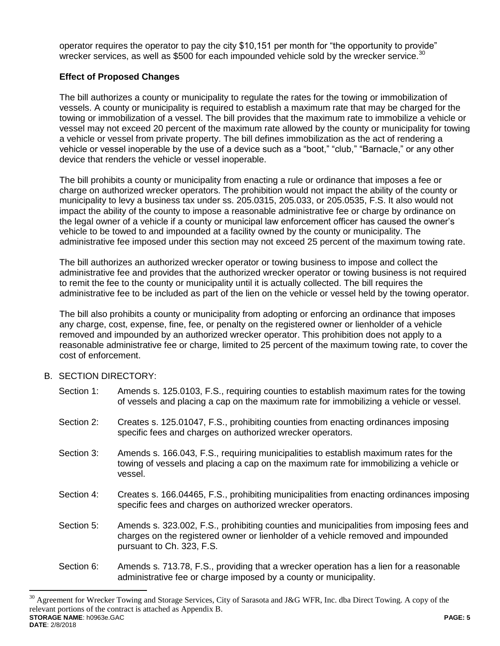operator requires the operator to pay the city \$10,151 per month for "the opportunity to provide" wrecker services, as well as \$500 for each impounded vehicle sold by the wrecker service. $^{30}$ 

# **Effect of Proposed Changes**

The bill authorizes a county or municipality to regulate the rates for the towing or immobilization of vessels. A county or municipality is required to establish a maximum rate that may be charged for the towing or immobilization of a vessel. The bill provides that the maximum rate to immobilize a vehicle or vessel may not exceed 20 percent of the maximum rate allowed by the county or municipality for towing a vehicle or vessel from private property. The bill defines immobilization as the act of rendering a vehicle or vessel inoperable by the use of a device such as a "boot," "club," "Barnacle," or any other device that renders the vehicle or vessel inoperable.

The bill prohibits a county or municipality from enacting a rule or ordinance that imposes a fee or charge on authorized wrecker operators. The prohibition would not impact the ability of the county or municipality to levy a business tax under ss. 205.0315, 205.033, or 205.0535, F.S. It also would not impact the ability of the county to impose a reasonable administrative fee or charge by ordinance on the legal owner of a vehicle if a county or municipal law enforcement officer has caused the owner's vehicle to be towed to and impounded at a facility owned by the county or municipality. The administrative fee imposed under this section may not exceed 25 percent of the maximum towing rate.

The bill authorizes an authorized wrecker operator or towing business to impose and collect the administrative fee and provides that the authorized wrecker operator or towing business is not required to remit the fee to the county or municipality until it is actually collected. The bill requires the administrative fee to be included as part of the lien on the vehicle or vessel held by the towing operator.

The bill also prohibits a county or municipality from adopting or enforcing an ordinance that imposes any charge, cost, expense, fine, fee, or penalty on the registered owner or lienholder of a vehicle removed and impounded by an authorized wrecker operator. This prohibition does not apply to a reasonable administrative fee or charge, limited to 25 percent of the maximum towing rate, to cover the cost of enforcement.

B. SECTION DIRECTORY:

| Section 1: | Amends s. 125.0103, F.S., requiring counties to establish maximum rates for the towing<br>of vessels and placing a cap on the maximum rate for immobilizing a vehicle or vessel.                         |
|------------|----------------------------------------------------------------------------------------------------------------------------------------------------------------------------------------------------------|
| Section 2: | Creates s. 125.01047, F.S., prohibiting counties from enacting ordinances imposing<br>specific fees and charges on authorized wrecker operators.                                                         |
| Section 3: | Amends s. 166.043, F.S., requiring municipalities to establish maximum rates for the<br>towing of vessels and placing a cap on the maximum rate for immobilizing a vehicle or<br>vessel.                 |
| Section 4: | Creates s. 166.04465, F.S., prohibiting municipalities from enacting ordinances imposing<br>specific fees and charges on authorized wrecker operators.                                                   |
| Section 5: | Amends s. 323.002, F.S., prohibiting counties and municipalities from imposing fees and<br>charges on the registered owner or lienholder of a vehicle removed and impounded<br>pursuant to Ch. 323, F.S. |
| Section 6: | Amends s. 713.78, F.S., providing that a wrecker operation has a lien for a reasonable<br>administrative fee or charge imposed by a county or municipality.                                              |

**STORAGE NAME**: h0963e.GAC **PAGE: 5 DATE**: 2/8/2018 <sup>30</sup> Agreement for Wrecker Towing and Storage Services, City of Sarasota and J&G WFR, Inc. dba Direct Towing. A copy of the relevant portions of the contract is attached as Appendix B.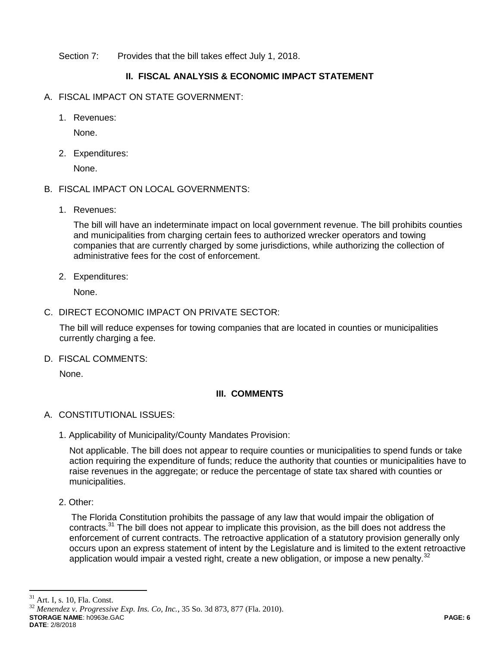Section 7: Provides that the bill takes effect July 1, 2018.

# **II. FISCAL ANALYSIS & ECONOMIC IMPACT STATEMENT**

- A. FISCAL IMPACT ON STATE GOVERNMENT:
	- 1. Revenues:

None.

2. Expenditures:

None.

- B. FISCAL IMPACT ON LOCAL GOVERNMENTS:
	- 1. Revenues:

The bill will have an indeterminate impact on local government revenue. The bill prohibits counties and municipalities from charging certain fees to authorized wrecker operators and towing companies that are currently charged by some jurisdictions, while authorizing the collection of administrative fees for the cost of enforcement.

2. Expenditures:

None.

C. DIRECT ECONOMIC IMPACT ON PRIVATE SECTOR:

The bill will reduce expenses for towing companies that are located in counties or municipalities currently charging a fee.

D. FISCAL COMMENTS:

None.

# **III. COMMENTS**

- A. CONSTITUTIONAL ISSUES:
	- 1. Applicability of Municipality/County Mandates Provision:

Not applicable. The bill does not appear to require counties or municipalities to spend funds or take action requiring the expenditure of funds; reduce the authority that counties or municipalities have to raise revenues in the aggregate; or reduce the percentage of state tax shared with counties or municipalities.

2. Other:

The Florida Constitution prohibits the passage of any law that would impair the obligation of contracts.<sup>31</sup> The bill does not appear to implicate this provision, as the bill does not address the enforcement of current contracts. The retroactive application of a statutory provision generally only occurs upon an express statement of intent by the Legislature and is limited to the extent retroactive application would impair a vested right, create a new obligation, or impose a new penalty.<sup>32</sup>

 $31\,$ Art. I, s. 10, Fla. Const.

**STORAGE NAME**: h0963e.GAC **PAGE: 6**  $32$  *Menendez v. Progressive Exp. Ins. Co, Inc.*, 35 So. 3d 873, 877 (Fla. 2010).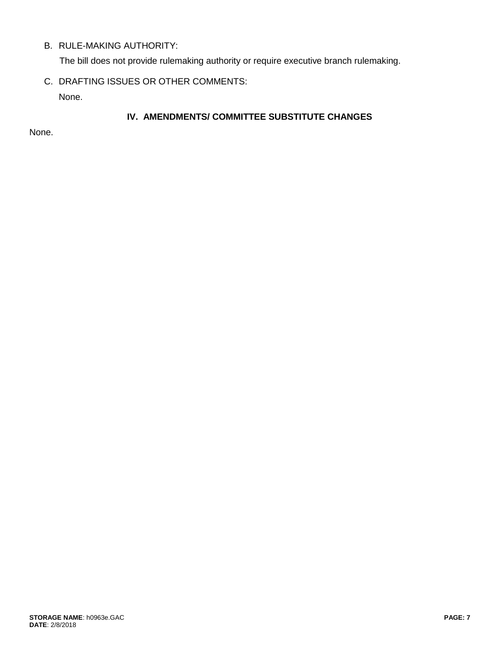# B. RULE-MAKING AUTHORITY:

The bill does not provide rulemaking authority or require executive branch rulemaking.

C. DRAFTING ISSUES OR OTHER COMMENTS:

None.

# **IV. AMENDMENTS/ COMMITTEE SUBSTITUTE CHANGES**

None.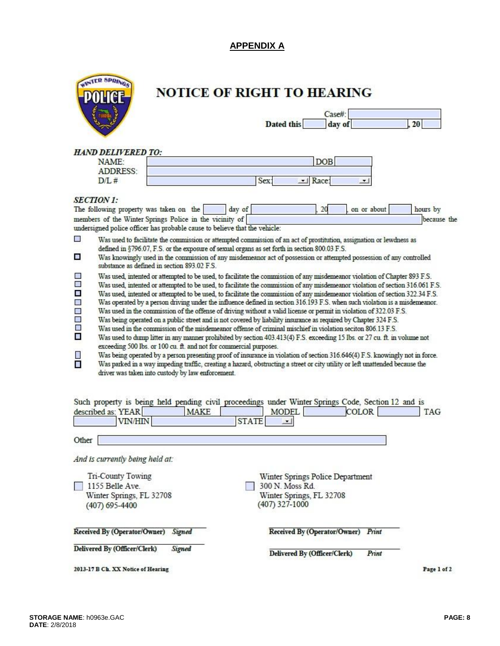# **APPENDIX A**

| TR SPRINGS |
|------------|
| POLICE     |
|            |
|            |

# NOTICE OF RIGHT TO HEARING

|            | Case#  |  |
|------------|--------|--|
| Dated this | day of |  |

# **HAND DELIVERED TO:**

| NAME:    |  |
|----------|--|
| ADDRESS: |  |
| 12/1.7   |  |

| ME            |             |  |
|---------------|-------------|--|
| <b>DRESS:</b> |             |  |
|               | <b>COLT</b> |  |

#### **SECTION 1:**

|                                                                                                                                  | The following property was taken on the<br>on or about<br>hours by<br>20<br>day of                                                                                                                                                                                                                                                                                                                                                                                                                                                                                                                                                                                                                                                                                                                                                                                                                                                                                                                                                                                                                                                                                                                                                                                                                                                                                                                       |
|----------------------------------------------------------------------------------------------------------------------------------|----------------------------------------------------------------------------------------------------------------------------------------------------------------------------------------------------------------------------------------------------------------------------------------------------------------------------------------------------------------------------------------------------------------------------------------------------------------------------------------------------------------------------------------------------------------------------------------------------------------------------------------------------------------------------------------------------------------------------------------------------------------------------------------------------------------------------------------------------------------------------------------------------------------------------------------------------------------------------------------------------------------------------------------------------------------------------------------------------------------------------------------------------------------------------------------------------------------------------------------------------------------------------------------------------------------------------------------------------------------------------------------------------------|
|                                                                                                                                  | members of the Winter Springs Police in the vicinity of<br>because the<br>undersigned police officer has probable cause to believe that the vehicle:                                                                                                                                                                                                                                                                                                                                                                                                                                                                                                                                                                                                                                                                                                                                                                                                                                                                                                                                                                                                                                                                                                                                                                                                                                                     |
|                                                                                                                                  |                                                                                                                                                                                                                                                                                                                                                                                                                                                                                                                                                                                                                                                                                                                                                                                                                                                                                                                                                                                                                                                                                                                                                                                                                                                                                                                                                                                                          |
| $\mathcal{L}_{\mathcal{M}}$                                                                                                      | Was used to facilitate the commission or attempted commission of an act of prostitution, assignation or lewdness as<br>defined in §796.07, F.S. or the exposure of sexual organs as set forth in section 800.03 F.S.                                                                                                                                                                                                                                                                                                                                                                                                                                                                                                                                                                                                                                                                                                                                                                                                                                                                                                                                                                                                                                                                                                                                                                                     |
| an a                                                                                                                             | Was knowingly used in the commission of any misdemeanor act of possession or attempted possession of any controlled<br>substance as defined in section 893.02 F.S.                                                                                                                                                                                                                                                                                                                                                                                                                                                                                                                                                                                                                                                                                                                                                                                                                                                                                                                                                                                                                                                                                                                                                                                                                                       |
| $\frac{1}{2}$<br>$\frac{1}{2}$<br><b>SE</b><br>讔<br>$\mathcal{L}_{\mathcal{A}}$<br>$\overline{\phantom{a}}$<br>П<br>$\mathbb{R}$ | Was used, intented or attempted to be used, to facilitate the commission of any misdemeanor violation of Chapter 893 F.S.<br>Was used, intented or attempted to be used, to facilitate the commission of any misdemeanor violation of section 316.061 F.S.<br>Was used, intented or attempted to be used, to facilitate the commission of any misdemeanor violation of section 322.34 F.S.<br>Was operated by a person driving under the influence defined in section 316.193 F.S. when such violation is a misdemeanor.<br>Was used in the commission of the offense of driving without a valid license or permit in violation of 322.03 F.S.<br>Was being operated on a public street and is not covered by liability insurance as required by Chapter 324 F.S.<br>Was used in the commission of the misdemeanor offense of criminal mischief in violation seciton 806.13 F.S.<br>Was used to dump litter in any manner prohibited by section 403.413(4) F.S. exceeding 15 lbs. or 27 cu. ft. in volume not<br>exceeding 500 lbs. or 100 cu. ft. and not for commercial purposes.<br>Was being operated by a person presenting proof of insurance in violation of section 316.646(4) F.S. knowingly not in force.<br>Was parked in a way impeding traffic, creating a hazard, obstructing a street or city utility or left unattended because the<br>driver was taken into custody by law enforcement. |

| described as: YEAR<br><b>MAKE</b><br><b>VIN/HIN</b> | Such property is being held pending civil proceedings under Winter Springs Code, Section 12 and is<br><b>COLOR</b><br>MODEL<br>TAG<br><b>STATE</b><br>ᆋ |
|-----------------------------------------------------|---------------------------------------------------------------------------------------------------------------------------------------------------------|
| Other                                               |                                                                                                                                                         |
| And is currently being held at:                     |                                                                                                                                                         |
| Tri-County Towing                                   | Winter Springs Police Department                                                                                                                        |
| 1155 Belle Ave                                      | 300 N. Moss Rd.                                                                                                                                         |
| Winter Springs, FL 32708                            | Winter Springs, FL 32708                                                                                                                                |
| (407) 695-4400                                      | (407) 327-1000                                                                                                                                          |
| Received By (Operator/Owner)                        | Received By (Operator/Owner)                                                                                                                            |
| Signed                                              | Print                                                                                                                                                   |
| Delivered By (Officer/Clerk)                        | Delivered By (Officer/Clerk)                                                                                                                            |
| Signed                                              | Print                                                                                                                                                   |
| 2013-17 B Ch. XX Notice of Hearing                  | Page 1 of 2                                                                                                                                             |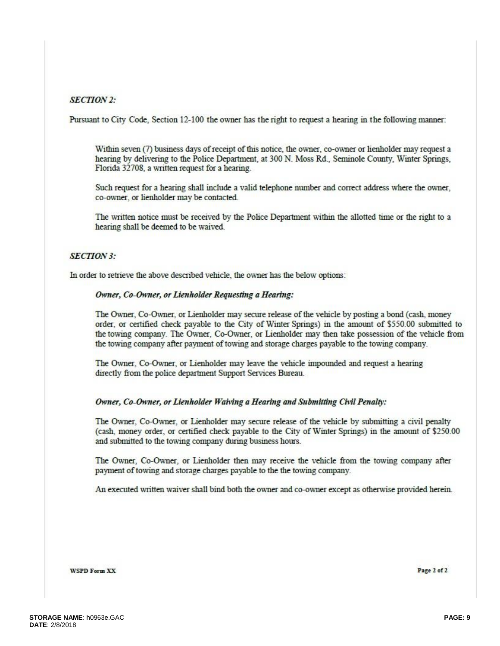### **SECTION 2:**

Pursuant to City Code, Section 12-100 the owner has the right to request a hearing in the following manner:

Within seven (7) business days of receipt of this notice, the owner, co-owner or lienholder may request a hearing by delivering to the Police Department, at 300 N. Moss Rd., Seminole County, Winter Springs, Florida 32708, a written request for a hearing.

Such request for a hearing shall include a valid telephone number and correct address where the owner, co-owner, or lienholder may be contacted.

The written notice must be received by the Police Department within the allotted time or the right to a hearing shall be deemed to be waived.

#### **SECTION 3:**

In order to retrieve the above described vehicle, the owner has the below options:

#### Owner, Co-Owner, or Lienholder Requesting a Hearing:

The Owner, Co-Owner, or Lienholder may secure release of the vehicle by posting a bond (cash, money order, or certified check payable to the City of Winter Springs) in the amount of \$550.00 submitted to the towing company. The Owner, Co-Owner, or Lienholder may then take possession of the vehicle from the towing company after payment of towing and storage charges payable to the towing company.

The Owner, Co-Owner, or Lienholder may leave the vehicle impounded and request a hearing directly from the police department Support Services Bureau.

#### Owner, Co-Owner, or Lienholder Waiving a Hearing and Submitting Civil Penalty:

The Owner, Co-Owner, or Lienholder may secure release of the vehicle by submitting a civil penalty (cash, money order, or certified check payable to the City of Winter Springs) in the amount of \$250.00 and submitted to the towing company during business hours.

The Owner, Co-Owner, or Lienholder then may receive the vehicle from the towing company after payment of towing and storage charges payable to the the towing company.

An executed written waiver shall bind both the owner and co-owner except as otherwise provided herein.

**WSPD Form XX** 

Page 2 of 2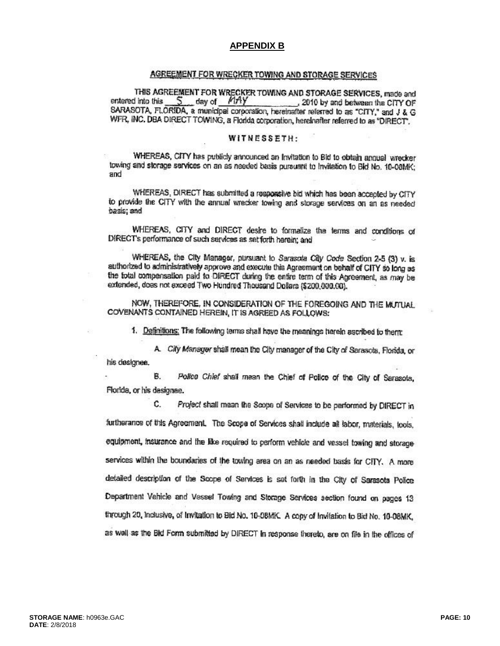#### **APPENDIX B**

#### AGREEMENT FOR WRECKER TOWING AND STORAGE SERVICES

THIS AGREEMENT FOR WRECKER TOWING AND STORAGE SERVICES, made and 5 day of MAY entered into this 2010 by and between the CITY OF SARASOTA, FLORIDA, a municipal corporation, hereinafter referred to as "CITY," and J & G WFR, INC. DBA DIRECT TOWING, a Florida corporation, hereinafter referred to as "DIRECT".

#### WITNESSETH:

WHEREAS, CITY has publicly announced an Invitation to Bid to obtain annual wrecker towing and storage services on an as needed basis pursuant to Invitation to Bid No. 10-08MK; and

WHEREAS, DIRECT has submitted a responsive bid which has been accepted by CITY to provide the CITY with the annual wrecker towing and storage services on an as needed basis; and

WHEREAS, CITY and DIRECT desire to formalize the terms and conditions of DIRECT's performance of such services as set forth herein; and

WHEREAS, the City Manager, pursuant to Sarasota City Code Section 2-5 (3) v. is authorized to administratively approve and execute this Agreement on behalf of CITY so long as the total compensation paid to DIRECT during the entire term of this Agreement, as may be extended, does not exceed Two Hundred Thousand Dollars (\$200,000,00).

NOW. THEREFORE, IN CONSIDERATION OF THE FOREGOING AND THE MUTUAL COVENANTS CONTAINED HEREIN, IT IS AGREED AS FOLLOWS:

1. Definitions: The following terms shall have the meanings herein ascribed to them:

A. City Manager shall mean the City manager of the City of Sarasota, Florida, or his designee.

**B.** Police Chief shall mean the Chief of Police of the City of Sarasota, Florida, or his designee.

C. Project shall mean the Scope of Services to be performed by DIRECT in furtherance of this Agreement. The Scope of Services shall include all labor, materials, tools, equipment, insurance and the like required to perform vehicle and vessel towing and storage services within the boundaries of the towing area on an as needed basis for CITY. A more detailed description of the Scope of Services is set forth in the City of Sarasota Police Department Vehicle and Vessel Towing and Storage Services section found on pages 13 through 20, inclusive, of invitation to Bid No. 10-08MK. A copy of invitation to Bid No. 10-08MK, as well as the Bid Form submitted by DIRECT in response thereto, are on file in the offices of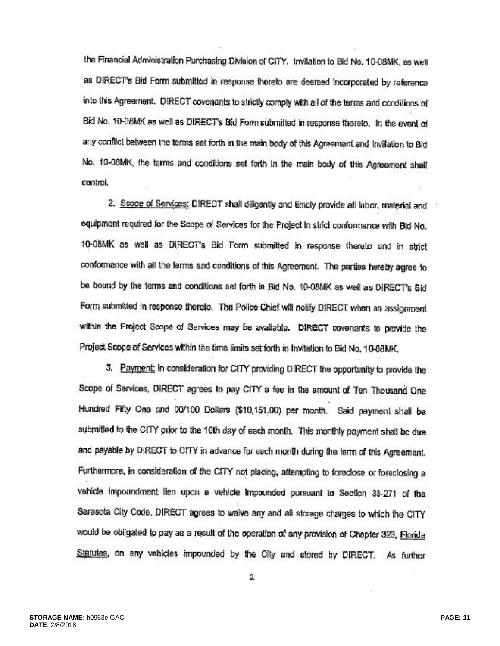the Financial Administration Purchasing Division of CITY. Invitation to Bid No. 10-08MK, as well as DIRECT's Bid Form submitted in response thereto are deemed incorporated by reference into this Agreement. DIRECT covenants to strictly comply with all of the terms and conditions of Bid No. 10-08MK as well as DIRECT's Bid Form submitted in response thereto. In the event of any conflict between the terms set forth in the main body of this Agreement and Invitation to Bid No. 10-08MK, the terms and conditions set forth in the main body of this Agreement shall control.

2. Scope of Services: DIRECT shall diligently and timely provide all labor, material and equipment required for the Scope of Services for the Project in strict conformance with Bid No. 10-08MK as well as DIRECT's Bid Form submitted in response thereto and in strict conformance with all the terms and conditions of this Agreement. The parties hereby agree to be bound by the terms and conditions set forth in Bid No. 10-08MK as well as DIRECT's Bid Form submitted in response thereto. The Police Chief will notify DIRECT when an assignment within the Project Scope of Services may be available. DIRECT covenants to provide the Project Scope of Services within the time limits set forth in Invitation to Bid No. 10-08MK.

3. Payment: In consideration for CITY providing DIRECT the opportunity to provide the Scope of Services, DIRECT agrees to pay CITY a fee in the amount of Ten Thousand One Hundred Fifty One and 00/100 Dollars (\$10,151,00) per month. Said payment shall be submitted to the CITY prior to the 10th day of each month. This monthly payment shall be due and payable by DIRECT to CITY in advance for each month during the term of this Agreement. Furthermore, in consideration of the CITY not placing, attempting to foreclose or foreclosing a vehicle impoundment lien upon a vehicle impounded pursuant to Section 33-271 of the Sarasota City Code, DIRECT agrees to waive any and all storage charges to which the CITY would be obligated to pay as a result of the operation of any provision of Chapter 323, Florida Statutes, on any vehicles impounded by the City and stored by DIRECT. As further

2